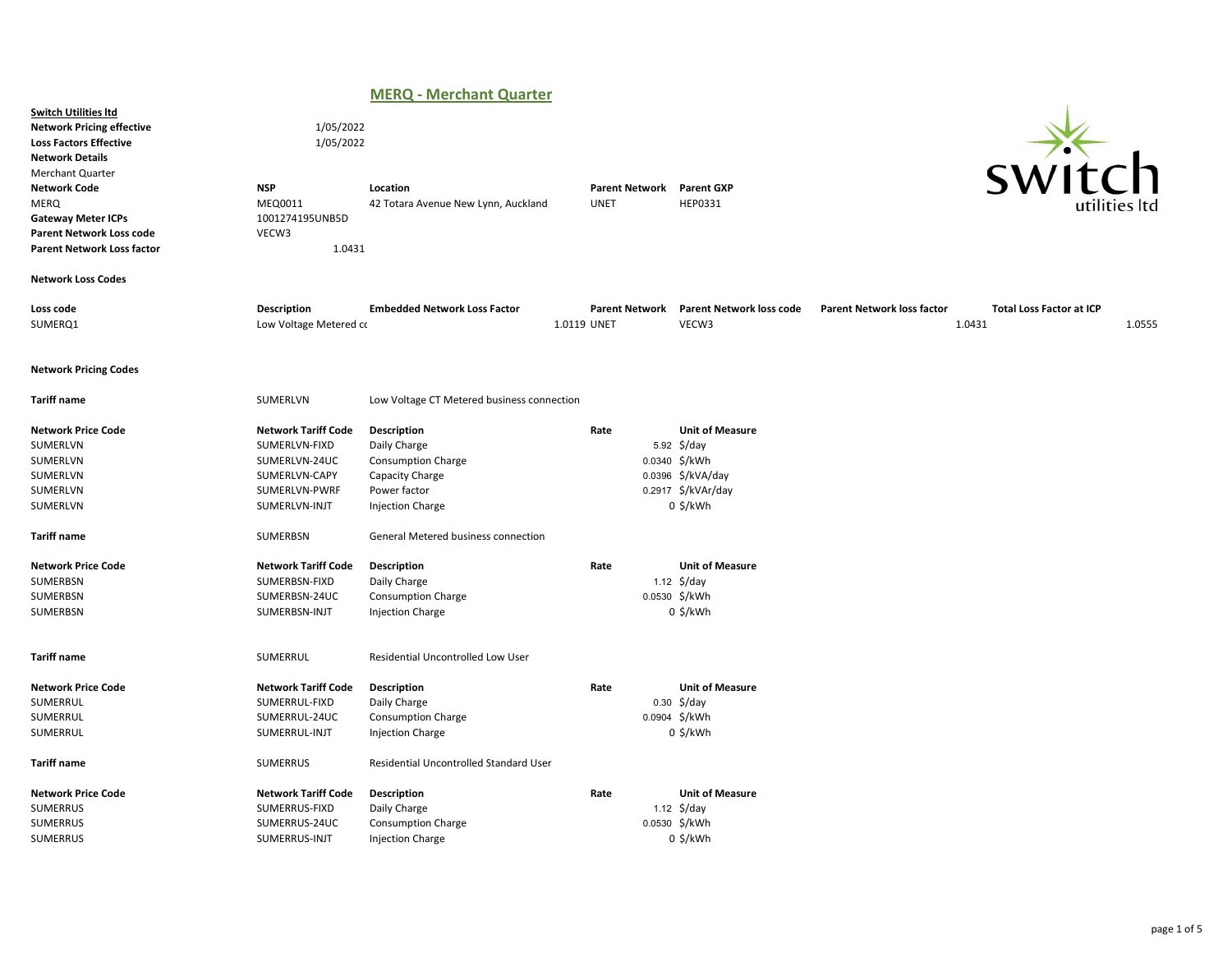# MERQ - Merchant Quarter

|                                                                                                                                                                                                                                                                                           |                                                                                                                 | .<br>$\sim$                                                                                                            |                                      |                                                                                                                 |                                             |                                           |
|-------------------------------------------------------------------------------------------------------------------------------------------------------------------------------------------------------------------------------------------------------------------------------------------|-----------------------------------------------------------------------------------------------------------------|------------------------------------------------------------------------------------------------------------------------|--------------------------------------|-----------------------------------------------------------------------------------------------------------------|---------------------------------------------|-------------------------------------------|
| <b>Switch Utilities Itd</b><br><b>Network Pricing effective</b><br><b>Loss Factors Effective</b><br><b>Network Details</b><br><b>Merchant Quarter</b><br><b>Network Code</b><br>MERQ<br><b>Gateway Meter ICPs</b><br><b>Parent Network Loss code</b><br><b>Parent Network Loss factor</b> | 1/05/2022<br>1/05/2022<br><b>NSP</b><br>MEQ0011<br>1001274195UNB5D<br>VECW3<br>1.0431                           | Location<br>42 Totara Avenue New Lynn, Auckland                                                                        | <b>Parent Network</b><br><b>UNET</b> | <b>Parent GXP</b><br>HEP0331                                                                                    |                                             | `h                                        |
| <b>Network Loss Codes</b>                                                                                                                                                                                                                                                                 |                                                                                                                 |                                                                                                                        |                                      |                                                                                                                 |                                             |                                           |
| Loss code<br>SUMERQ1                                                                                                                                                                                                                                                                      | <b>Description</b><br>Low Voltage Metered co                                                                    | <b>Embedded Network Loss Factor</b>                                                                                    | <b>Parent Network</b><br>1.0119 UNET | <b>Parent Network loss code</b><br>VECW3                                                                        | <b>Parent Network loss factor</b><br>1.0431 | <b>Total Loss Factor at ICP</b><br>1.0555 |
| <b>Network Pricing Codes</b>                                                                                                                                                                                                                                                              |                                                                                                                 |                                                                                                                        |                                      |                                                                                                                 |                                             |                                           |
| <b>Tariff name</b>                                                                                                                                                                                                                                                                        | SUMERLVN                                                                                                        | Low Voltage CT Metered business connection                                                                             |                                      |                                                                                                                 |                                             |                                           |
| <b>Network Price Code</b><br>SUMERLVN<br>SUMERLVN<br>SUMERLVN<br>SUMERLVN<br>SUMERLVN                                                                                                                                                                                                     | <b>Network Tariff Code</b><br>SUMERLVN-FIXD<br>SUMERLVN-24UC<br>SUMERLVN-CAPY<br>SUMERLVN-PWRF<br>SUMERLVN-INJT | Description<br>Daily Charge<br><b>Consumption Charge</b><br>Capacity Charge<br>Power factor<br><b>Injection Charge</b> | Rate                                 | <b>Unit of Measure</b><br>5.92 \$/day<br>0.0340 \$/kWh<br>0.0396 \$/kVA/day<br>0.2917 \$/kVAr/day<br>$0$ \$/kWh |                                             |                                           |
| <b>Tariff name</b>                                                                                                                                                                                                                                                                        | SUMERBSN                                                                                                        | General Metered business connection                                                                                    |                                      |                                                                                                                 |                                             |                                           |
| <b>Network Price Code</b><br>SUMERBSN<br>SUMERBSN<br>SUMERBSN                                                                                                                                                                                                                             | <b>Network Tariff Code</b><br>SUMERBSN-FIXD<br>SUMERBSN-24UC<br>SUMERBSN-INJT                                   | Description<br>Daily Charge<br><b>Consumption Charge</b><br><b>Injection Charge</b>                                    | Rate                                 | <b>Unit of Measure</b><br>1.12 $\frac{1}{2}$ /day<br>0.0530 \$/kWh<br>$0$ \$/kWh                                |                                             |                                           |
| <b>Tariff name</b>                                                                                                                                                                                                                                                                        | SUMERRUL                                                                                                        | Residential Uncontrolled Low User                                                                                      |                                      |                                                                                                                 |                                             |                                           |
| <b>Network Price Code</b><br>SUMERRUL<br>SUMERRUL<br>SUMERRUL                                                                                                                                                                                                                             | <b>Network Tariff Code</b><br>SUMERRUL-FIXD<br>SUMERRUL-24UC<br>SUMERRUL-INJT                                   | Description<br>Daily Charge<br>Consumption Charge<br>Injection Charge                                                  | Rate                                 | <b>Unit of Measure</b><br>$0.30 \div \, \frac{1}{2}$<br>0.0904 \$/kWh<br>0 \$/kWh                               |                                             |                                           |
| <b>Tariff name</b>                                                                                                                                                                                                                                                                        | <b>SUMERRUS</b>                                                                                                 | Residential Uncontrolled Standard User                                                                                 |                                      |                                                                                                                 |                                             |                                           |
| <b>Network Price Code</b><br>SUMERRUS<br><b>SUMERRUS</b><br>SUMERRUS                                                                                                                                                                                                                      | <b>Network Tariff Code</b><br>SUMERRUS-FIXD<br>SUMERRUS-24UC<br>SUMERRUS-INJT                                   | Description<br>Daily Charge<br><b>Consumption Charge</b><br><b>Injection Charge</b>                                    | Rate                                 | <b>Unit of Measure</b><br>1.12 $\frac{1}{2}$ /day<br>0.0530 \$/kWh<br>$0$ \$/kWh                                |                                             |                                           |
|                                                                                                                                                                                                                                                                                           |                                                                                                                 |                                                                                                                        |                                      |                                                                                                                 |                                             |                                           |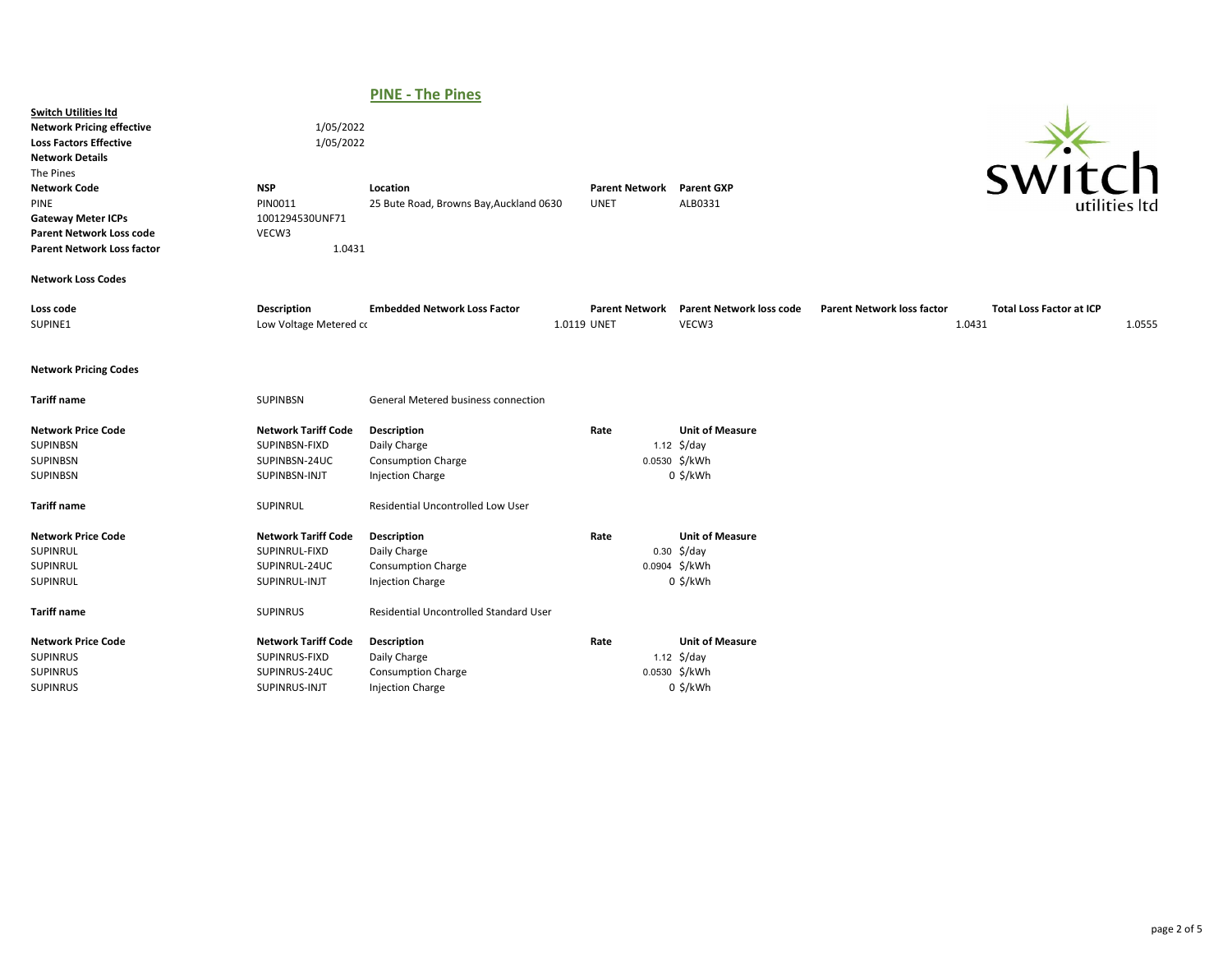# PINE - The Pines

| <b>Switch Utilities Itd</b><br><b>Network Pricing effective</b><br><b>Loss Factors Effective</b><br><b>Network Details</b><br>The Pines<br><b>Network Code</b><br><b>PINE</b><br><b>Gateway Meter ICPs</b><br><b>Parent Network Loss code</b><br><b>Parent Network Loss factor</b> | 1/05/2022<br>1/05/2022<br><b>NSP</b><br>PIN0011<br>1001294530UNF71<br>VECW3<br>1.0431 | Location<br>25 Bute Road, Browns Bay, Auckland 0630                                 | <b>Parent Network</b><br><b>UNET</b> |                                                  | <b>Parent GXP</b><br>ALB0331         |                                   | SW11                                      | utilities ltc |
|------------------------------------------------------------------------------------------------------------------------------------------------------------------------------------------------------------------------------------------------------------------------------------|---------------------------------------------------------------------------------------|-------------------------------------------------------------------------------------|--------------------------------------|--------------------------------------------------|--------------------------------------|-----------------------------------|-------------------------------------------|---------------|
| <b>Network Loss Codes</b>                                                                                                                                                                                                                                                          |                                                                                       |                                                                                     |                                      |                                                  |                                      |                                   |                                           |               |
| Loss code<br>SUPINE1                                                                                                                                                                                                                                                               | <b>Description</b><br>Low Voltage Metered co                                          | <b>Embedded Network Loss Factor</b>                                                 | <b>Parent Network</b><br>1.0119 UNET |                                                  | Parent Network loss code<br>VECW3    | <b>Parent Network loss factor</b> | <b>Total Loss Factor at ICP</b><br>1.0431 | 1.0555        |
| <b>Network Pricing Codes</b>                                                                                                                                                                                                                                                       |                                                                                       |                                                                                     |                                      |                                                  |                                      |                                   |                                           |               |
| <b>Tariff name</b>                                                                                                                                                                                                                                                                 | SUPINBSN                                                                              | General Metered business connection                                                 |                                      |                                                  |                                      |                                   |                                           |               |
| <b>Network Price Code</b><br>SUPINBSN<br>SUPINBSN<br>SUPINBSN                                                                                                                                                                                                                      | <b>Network Tariff Code</b><br>SUPINBSN-FIXD<br>SUPINBSN-24UC<br>SUPINBSN-INJT         | Description<br>Daily Charge<br><b>Consumption Charge</b><br><b>Injection Charge</b> | Rate                                 | 1.12 $\frac{1}{2}$ /day<br>0.0530 \$/kWh         | <b>Unit of Measure</b><br>$0$ \$/kWh |                                   |                                           |               |
| <b>Tariff name</b>                                                                                                                                                                                                                                                                 | SUPINRUL                                                                              | Residential Uncontrolled Low User                                                   |                                      |                                                  |                                      |                                   |                                           |               |
| <b>Network Price Code</b><br>SUPINRUL<br>SUPINRUL<br>SUPINRUL                                                                                                                                                                                                                      | <b>Network Tariff Code</b><br>SUPINRUL-FIXD<br>SUPINRUL-24UC<br>SUPINRUL-INJT         | Description<br>Daily Charge<br><b>Consumption Charge</b><br><b>Injection Charge</b> | Rate                                 | $0.30 \div \, \frac{1}{2}$ /day<br>0.0904 \$/kWh | <b>Unit of Measure</b><br>$0$ \$/kWh |                                   |                                           |               |
| <b>Tariff name</b>                                                                                                                                                                                                                                                                 | <b>SUPINRUS</b>                                                                       | Residential Uncontrolled Standard User                                              |                                      |                                                  |                                      |                                   |                                           |               |
| <b>Network Price Code</b><br><b>SUPINRUS</b><br><b>SUPINRUS</b><br><b>SUPINRUS</b>                                                                                                                                                                                                 | <b>Network Tariff Code</b><br>SUPINRUS-FIXD<br>SUPINRUS-24UC<br>SUPINRUS-INJT         | Description<br>Daily Charge<br><b>Consumption Charge</b><br><b>Injection Charge</b> | Rate                                 | 1.12 $\frac{1}{2}$ /day<br>0.0530 \$/kWh         | <b>Unit of Measure</b><br>$0$ \$/kWh |                                   |                                           |               |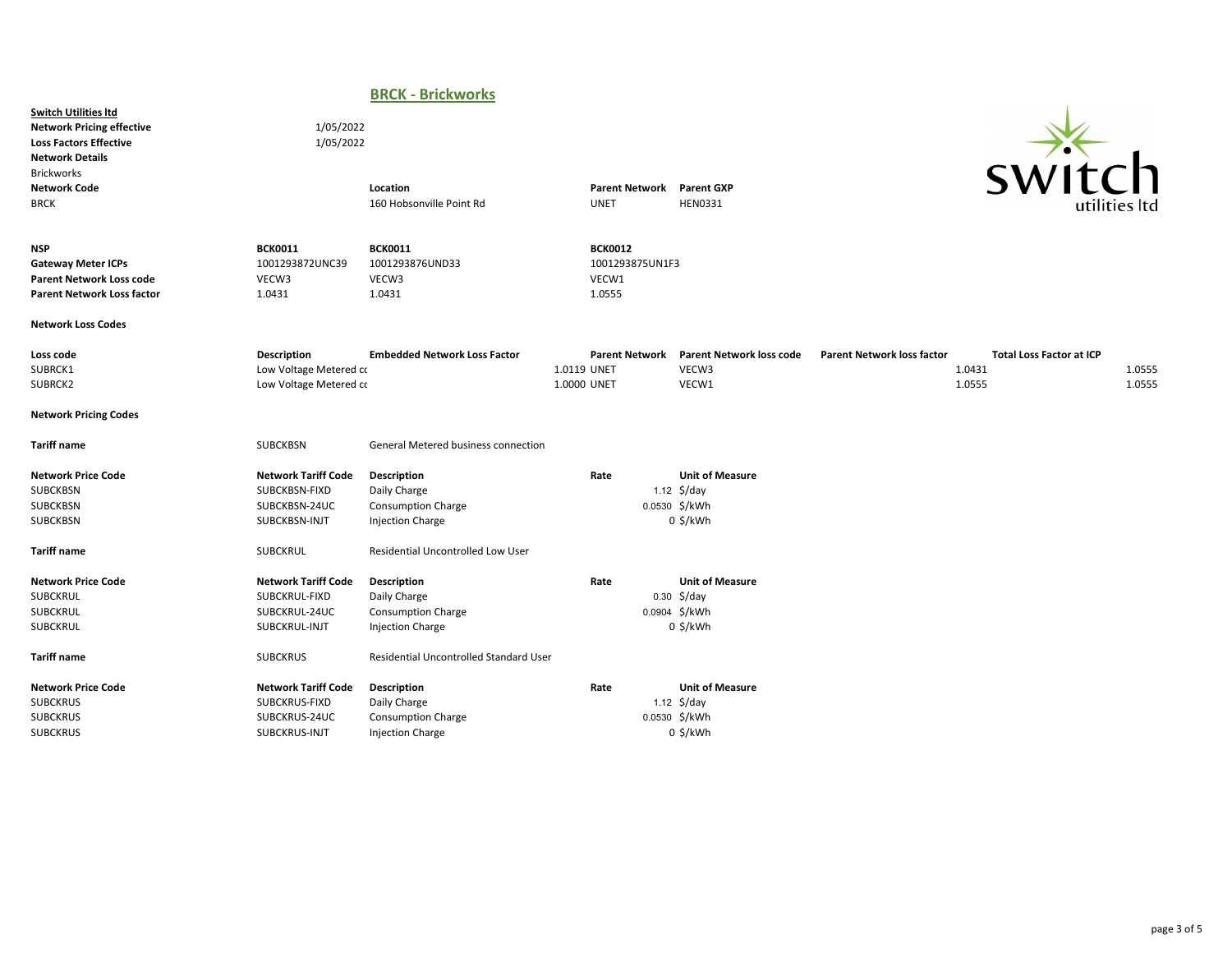## BRCK - Brickworks

Switch Utilities ltd Network Pricing effective 1/05/2022 Loss Factors Effective 1/05/2022 Network Details Brickworks



| <b>Network Code</b><br><b>BRCK</b>                                                                              |                                                                               | Location<br>160 Hobsonville Point Rd                                                |                            | <b>Parent Network</b><br><b>UNET</b>                 | <b>Parent GXP</b><br><b>HEN0331</b>                                                      |                                   | S VV I LUI I                                        | utilities ltd    |
|-----------------------------------------------------------------------------------------------------------------|-------------------------------------------------------------------------------|-------------------------------------------------------------------------------------|----------------------------|------------------------------------------------------|------------------------------------------------------------------------------------------|-----------------------------------|-----------------------------------------------------|------------------|
| <b>NSP</b><br><b>Gateway Meter ICPs</b><br><b>Parent Network Loss code</b><br><b>Parent Network Loss factor</b> | <b>BCK0011</b><br>1001293872UNC39<br>VECW3<br>1.0431                          | <b>BCK0011</b><br>1001293876UND33<br>VECW3<br>1.0431                                |                            | <b>BCK0012</b><br>1001293875UN1F3<br>VECW1<br>1.0555 |                                                                                          |                                   |                                                     |                  |
| <b>Network Loss Codes</b>                                                                                       |                                                                               |                                                                                     |                            |                                                      |                                                                                          |                                   |                                                     |                  |
| Loss code<br>SUBRCK1<br>SUBRCK2                                                                                 | <b>Description</b><br>Low Voltage Metered co<br>Low Voltage Metered co        | <b>Embedded Network Loss Factor</b>                                                 | 1.0119 UNET<br>1.0000 UNET | <b>Parent Network</b>                                | <b>Parent Network loss code</b><br>VECW3<br>VECW1                                        | <b>Parent Network loss factor</b> | <b>Total Loss Factor at ICP</b><br>1.0431<br>1.0555 | 1.0555<br>1.0555 |
| <b>Network Pricing Codes</b>                                                                                    |                                                                               |                                                                                     |                            |                                                      |                                                                                          |                                   |                                                     |                  |
| <b>Tariff name</b>                                                                                              | SUBCKBSN                                                                      | <b>General Metered business connection</b>                                          |                            |                                                      |                                                                                          |                                   |                                                     |                  |
| <b>Network Price Code</b><br>SUBCKBSN<br><b>SUBCKBSN</b><br><b>SUBCKBSN</b>                                     | <b>Network Tariff Code</b><br>SUBCKBSN-FIXD<br>SUBCKBSN-24UC<br>SUBCKBSN-INJT | Description<br>Daily Charge<br><b>Consumption Charge</b><br><b>Injection Charge</b> | Rate                       |                                                      | <b>Unit of Measure</b><br>1.12 $\frac{2}{3}$ /day<br>0.0530 \$/kWh<br>$0$ \$/kWh         |                                   |                                                     |                  |
| <b>Tariff name</b>                                                                                              | <b>SUBCKRUL</b>                                                               | <b>Residential Uncontrolled Low User</b>                                            |                            |                                                      |                                                                                          |                                   |                                                     |                  |
| <b>Network Price Code</b><br>SUBCKRUL<br><b>SUBCKRUL</b><br>SUBCKRUL                                            | <b>Network Tariff Code</b><br>SUBCKRUL-FIXD<br>SUBCKRUL-24UC<br>SUBCKRUL-INJT | Description<br>Daily Charge<br><b>Consumption Charge</b><br><b>Injection Charge</b> | Rate                       |                                                      | <b>Unit of Measure</b><br>$0.30 \div \, \frac{1}{2}$ o.30<br>0.0904 \$/kWh<br>$0$ \$/kWh |                                   |                                                     |                  |
| <b>Tariff name</b>                                                                                              | <b>SUBCKRUS</b>                                                               | <b>Residential Uncontrolled Standard User</b>                                       |                            |                                                      |                                                                                          |                                   |                                                     |                  |
| <b>Network Price Code</b><br><b>SUBCKRUS</b><br><b>SUBCKRUS</b><br><b>SUBCKRUS</b>                              | <b>Network Tariff Code</b><br>SUBCKRUS-FIXD<br>SUBCKRUS-24UC<br>SUBCKRUS-INJT | Description<br>Daily Charge<br><b>Consumption Charge</b><br><b>Injection Charge</b> | Rate                       |                                                      | <b>Unit of Measure</b><br>1.12 $\frac{2}{3}$ /day<br>0.0530 \$/kWh<br>$0$ \$/kWh         |                                   |                                                     |                  |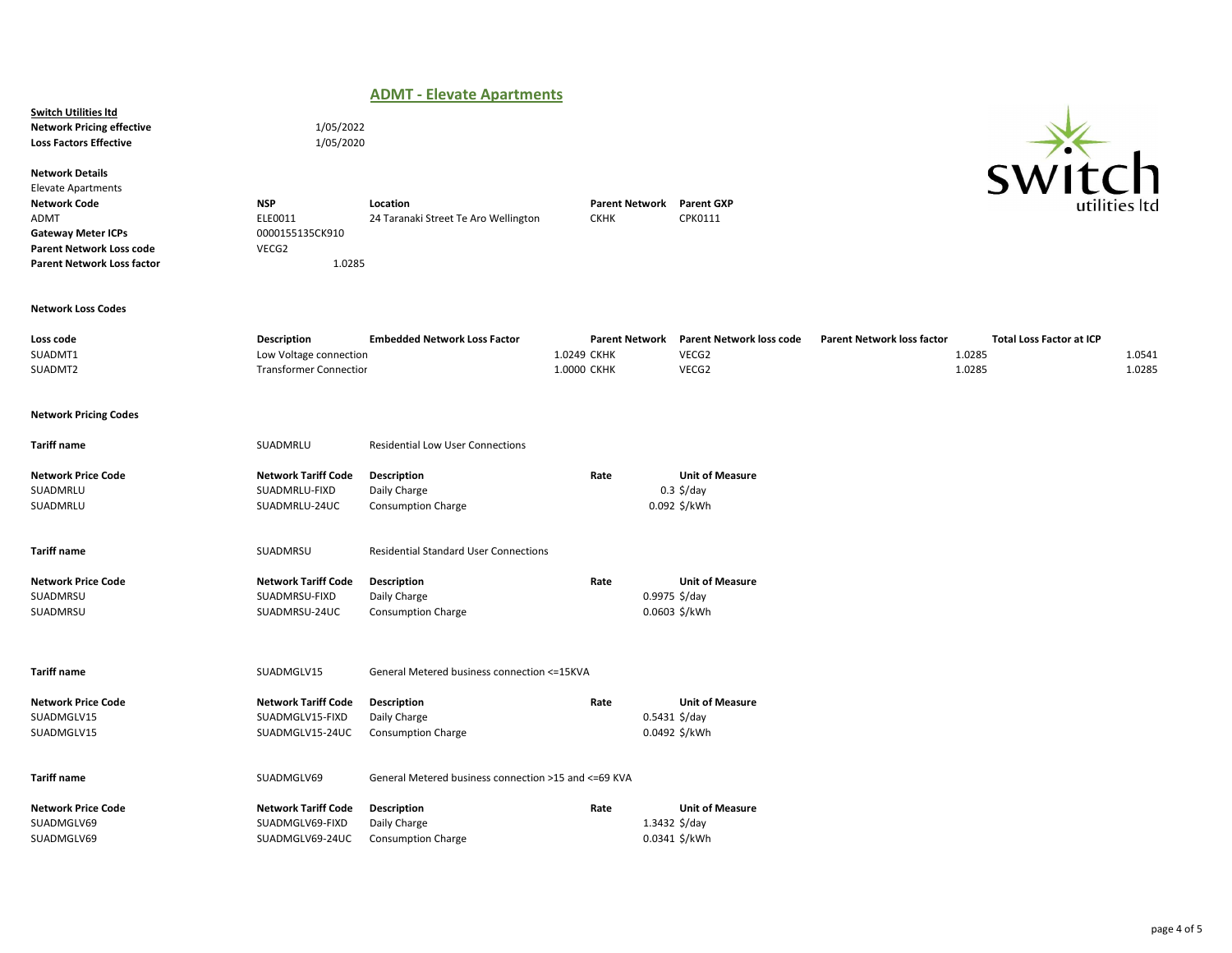### ADMT - Elevate Apartments

Network Pricing effective 1/05/2022 Loss Factors Effective 1/05/2020

Network Details

**Switch Utilities Itd** 

Elevate Apartments Gateway Meter ICPs 0000155135CK910 Parent Network Loss code VECG2 Parent Network Loss factor 1.0285

Network Code **NSP** Location Location Location Parent Network Parent GXP<br>ADMT ADMT DELEO011 24 Taranaki Street Te Aro Wellington CKHK CPK0111 24 Taranaki Street Te Aro Wellington

#### Network Loss Codes

| Loss code | <b>Description</b>     | <b>Embedded Network Loss Factor</b> |            | Parent Network Parent Network loss code | <b>Parent Network loss factor</b> | <b>Total Loss Factor at ICP</b> |        |
|-----------|------------------------|-------------------------------------|------------|-----------------------------------------|-----------------------------------|---------------------------------|--------|
| SUADMT1   | Low Voltage connection |                                     | .0249 CKHK | VECG2                                   | 0285.ء                            |                                 | 1.0541 |
| SUADMT2   | Transformer Connectior |                                     | .0000 CKHK | VECG2                                   | 1.0285                            |                                 | 1.0285 |

### Network Pricing Codes

| <b>Tariff name</b>        | SUADMRLU                   | <b>Residential Low User Connections</b>               |      |                           |
|---------------------------|----------------------------|-------------------------------------------------------|------|---------------------------|
| <b>Network Price Code</b> | <b>Network Tariff Code</b> | Description                                           | Rate | <b>Unit of Measure</b>    |
| SUADMRLU                  | SUADMRLU-FIXD              | Daily Charge                                          |      | $0.3$ \$/day              |
| SUADMRLU                  | SUADMRLU-24UC              | <b>Consumption Charge</b>                             |      | 0.092 \$/kWh              |
| <b>Tariff name</b>        | SUADMRSU                   | <b>Residential Standard User Connections</b>          |      |                           |
| <b>Network Price Code</b> | <b>Network Tariff Code</b> | Description                                           | Rate | <b>Unit of Measure</b>    |
| SUADMRSU                  | SUADMRSU-FIXD              | Daily Charge                                          |      | $0.9975$ \$/day           |
| SUADMRSU                  | SUADMRSU-24UC              | <b>Consumption Charge</b>                             |      | 0.0603 \$/kWh             |
| <b>Tariff name</b>        | SUADMGLV15                 | General Metered business connection <= 15KVA          |      |                           |
| <b>Network Price Code</b> | <b>Network Tariff Code</b> | Description                                           | Rate | <b>Unit of Measure</b>    |
| SUADMGLV15                | SUADMGLV15-FIXD            | Daily Charge                                          |      | $0.5431 \frac{5}{day}$    |
| SUADMGLV15                | SUADMGLV15-24UC            | <b>Consumption Charge</b>                             |      | 0.0492 \$/kWh             |
| <b>Tariff name</b>        | SUADMGLV69                 | General Metered business connection >15 and <= 69 KVA |      |                           |
| <b>Network Price Code</b> | <b>Network Tariff Code</b> | <b>Description</b>                                    | Rate | <b>Unit of Measure</b>    |
| SUADMGLV69                | SUADMGLV69-FIXD            | Daily Charge                                          |      | 1.3432 $\frac{2}{3}$ /day |
| SUADMGLV69                | SUADMGLV69-24UC            | <b>Consumption Charge</b>                             |      | 0.0341 \$/kWh             |